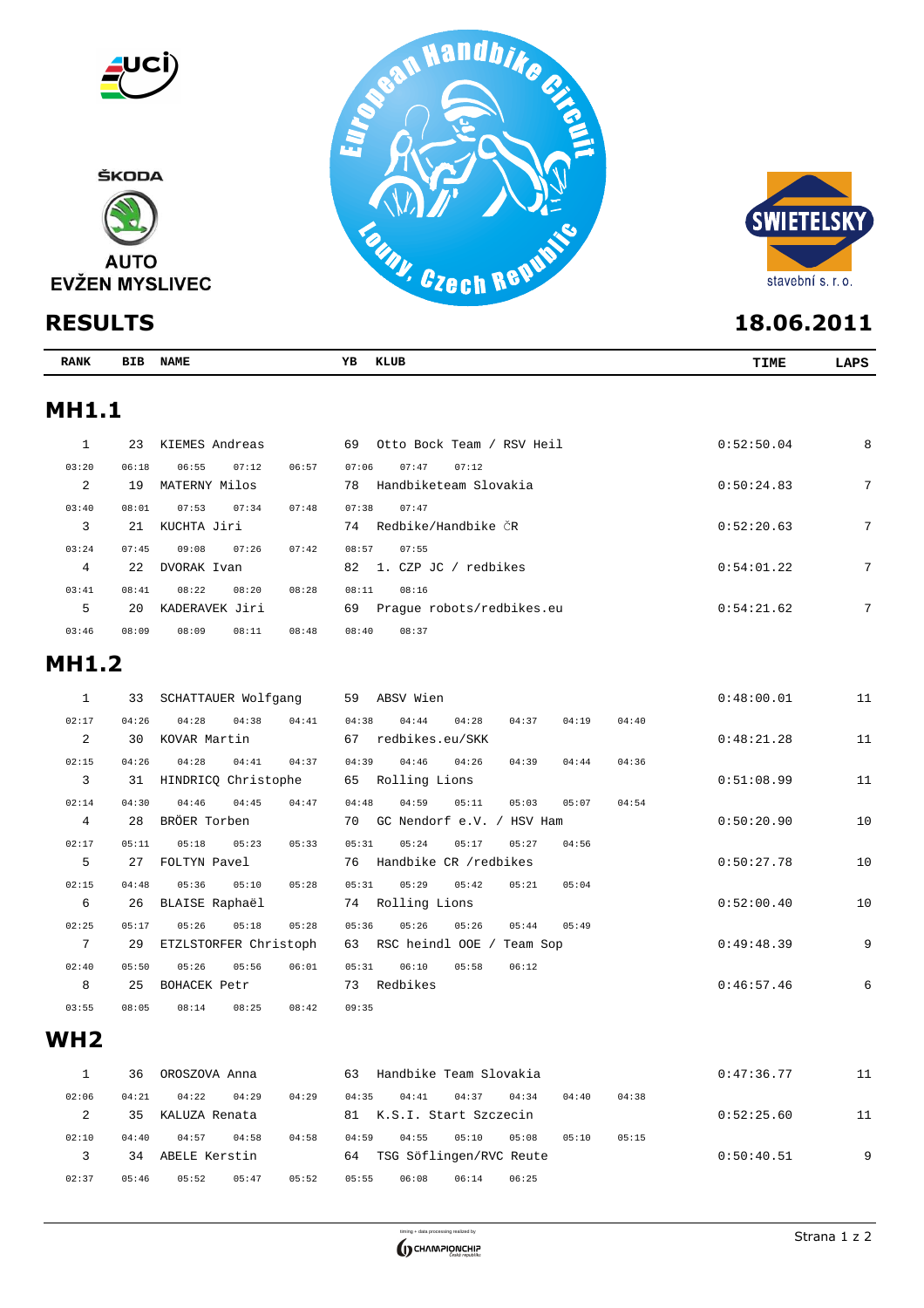



| <b>RANK</b>  | BIB         | <b>NAME</b>                   |       | ΥB<br>KLUB                                  | TIME       | LAPS |
|--------------|-------------|-------------------------------|-------|---------------------------------------------|------------|------|
| <b>MH1.1</b> |             |                               |       |                                             |            |      |
|              | 23          | KIEMES Andreas                |       | Otto Bock Team / RSV Heil<br>69             | 0:52:50.04 | 8    |
| 03:20        | 06:18       | 06:55<br>07:12                | 06:57 | 07:47<br>07:12<br>07:06                     |            |      |
| 2            | 19          | MATERNY Milos                 |       | Handbiketeam Slovakia<br>78                 | 0:50:24.83 | 7    |
| 03:40<br>3   | 08:01<br>21 | 07:53<br>07:34<br>KUCHTA Jiri | 07:48 | 07:38<br>07:47<br>Redbike/Handbike ČR<br>74 | 0:52:20.63 | 7    |

| 03:24 | 07:45 | 09:08          | 07:26 | 07:42 | 08:57<br>07:55                  |            |   |
|-------|-------|----------------|-------|-------|---------------------------------|------------|---|
| 4     | 22    | DVORAK Ivan    |       |       | 82 1. CZP JC<br>redbikes        | 0:54:01.22 | ⇁ |
| 03:41 | 08:41 | 08:22          | 08:20 | 08:28 | 08:11<br>08:16                  |            |   |
| 5     | 20    | KADERAVEK Jiri |       |       | Praque robots/redbikes.eu<br>69 | 0:54:21.62 | ⇁ |
| 03:46 | 08:09 | 08:09          | 08:11 | 08:48 | 08:40<br>08:37                  |            |   |

# **MH1.2**

| 1              | 33    | SCHATTAUER Wolfgang   |       | 59<br>ABSV Wien                                    | 0:48:00.01 | 11 |
|----------------|-------|-----------------------|-------|----------------------------------------------------|------------|----|
| 02:17          | 04:26 | 04:28<br>04:38        | 04:41 | 04:38<br>04:28<br>04:19<br>04:44<br>04:37<br>04:40 |            |    |
| 2              | 30    | KOVAR Martin          |       | 67<br>redbikes.eu/SKK                              | 0:48:21.28 | 11 |
| 02:15          | 04:26 | 04:41<br>04:28        | 04:37 | 04:39<br>04:46<br>04:26<br>04:39<br>04:44<br>04:36 |            |    |
| 3              | 31    | HINDRICO Christophe   |       | 65<br>Rolling Lions                                | 0:51:08.99 | 11 |
| 02:14          | 04:30 | 04:45<br>04:46        | 04:47 | 04:59<br>05:11<br>04:48<br>05:07<br>05:03<br>04:54 |            |    |
| $\overline{4}$ | 28    | BRÖER Torben          |       | GC Nendorf e.V. / HSV Ham<br>70                    | 0:50:20.90 | 10 |
| 02:17          | 05:11 | 05:18<br>05:23        | 05:33 | 05:31<br>05:24<br>05:17<br>04:56<br>05:27          |            |    |
| 5              | 27    | FOLTYN Pavel          |       | Handbike CR /redbikes<br>76                        | 0:50:27.78 | 10 |
| 02:15          | 04:48 | 05:36<br>05:10        | 05:28 | 05:31<br>05:29<br>05:42<br>05:04<br>05:21          |            |    |
| 6              | 26    | BLAISE Raphaël        |       | Rolling Lions<br>74                                | 0:52:00.40 | 10 |
| 02:25          | 05:17 | 05:26<br>05:18        | 05:28 | 05:36<br>05:26<br>05:26<br>05:44<br>05:49          |            |    |
| 7              | 29    | ETZLSTORFER Christoph |       | 63<br>RSC heindl OOE<br>Team Sop                   | 0:49:48.39 | 9  |
| 02:40          | 05:50 | 05:26<br>05:56        | 06:01 | 05:31<br>06:10<br>05:58<br>06:12                   |            |    |
| 8              | 25    | BOHACEK Petr          |       | 73<br>Redbikes                                     | 0:46:57.46 | 6  |
| 03:55          | 08:05 | 08:14<br>08:25        | 08:42 | 09:35                                              |            |    |

### **WH2**

|       | 36    | OROSZOVA Anna |                | 63    | Handbike Team Slovakia  |       |       |       |       | 0:47:36.77 | 11 |
|-------|-------|---------------|----------------|-------|-------------------------|-------|-------|-------|-------|------------|----|
| 02:06 | 04:21 | 04:22         | 04:29<br>04:29 | 04:35 | 04:41                   | 04:37 | 04:34 | 04:40 | 04:38 |            |    |
|       | 35    | KALUZA Renata |                | 81    | K.S.I. Start Szczecin   |       |       |       |       | 0:52:25.60 | 11 |
| 02:10 | 04:40 | 04:57         | 04:58<br>04:58 | 04:59 | 04:55                   | 05:10 | 05:08 | 05:10 | 05:15 |            |    |
|       | 34    | ABELE Kerstin |                | 64    | TSG Söflingen/RVC Reute |       |       |       |       | 0:50:40.51 | 9  |
| 02:37 | 05:46 | 05:52         | 05:47<br>05:52 | 05:55 | 06:08                   | 06:14 | 06:25 |       |       |            |    |